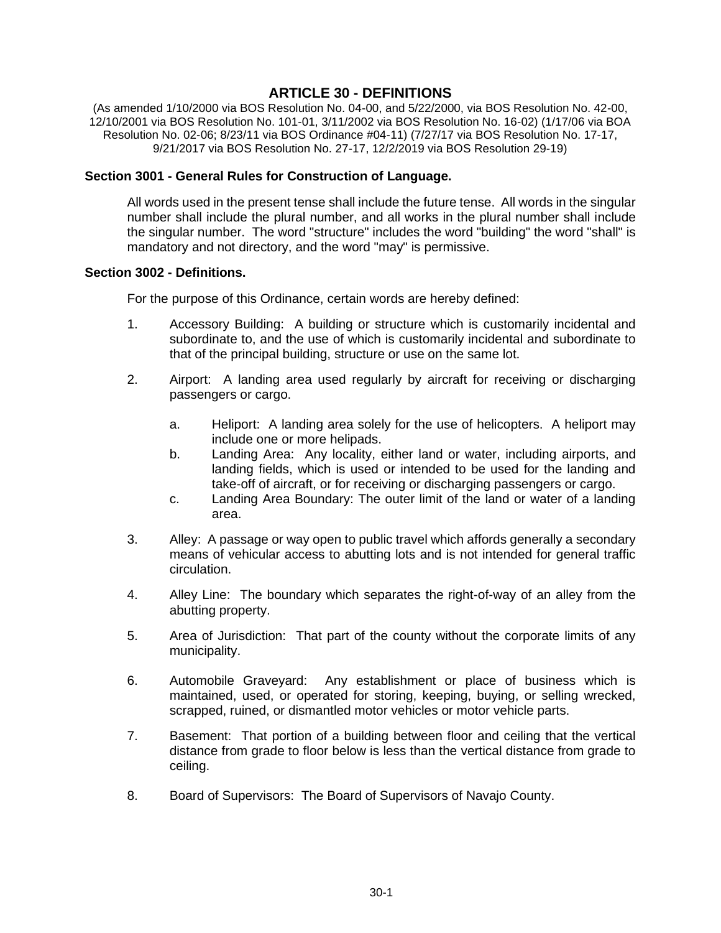## **ARTICLE 30 - DEFINITIONS**

(As amended 1/10/2000 via BOS Resolution No. 04-00, and 5/22/2000, via BOS Resolution No. 42-00, 12/10/2001 via BOS Resolution No. 101-01, 3/11/2002 via BOS Resolution No. 16-02) (1/17/06 via BOA Resolution No. 02-06; 8/23/11 via BOS Ordinance #04-11) (7/27/17 via BOS Resolution No. 17-17, 9/21/2017 via BOS Resolution No. 27-17, 12/2/2019 via BOS Resolution 29-19)

## **Section 3001 - General Rules for Construction of Language.**

All words used in the present tense shall include the future tense. All words in the singular number shall include the plural number, and all works in the plural number shall include the singular number. The word "structure" includes the word "building" the word "shall" is mandatory and not directory, and the word "may" is permissive.

## **Section 3002 - Definitions.**

For the purpose of this Ordinance, certain words are hereby defined:

- 1. Accessory Building: A building or structure which is customarily incidental and subordinate to, and the use of which is customarily incidental and subordinate to that of the principal building, structure or use on the same lot.
- 2. Airport: A landing area used regularly by aircraft for receiving or discharging passengers or cargo.
	- a. Heliport: A landing area solely for the use of helicopters. A heliport may include one or more helipads.
	- b. Landing Area: Any locality, either land or water, including airports, and landing fields, which is used or intended to be used for the landing and take-off of aircraft, or for receiving or discharging passengers or cargo.
	- c. Landing Area Boundary: The outer limit of the land or water of a landing area.
- 3. Alley: A passage or way open to public travel which affords generally a secondary means of vehicular access to abutting lots and is not intended for general traffic circulation.
- 4. Alley Line: The boundary which separates the right-of-way of an alley from the abutting property.
- 5. Area of Jurisdiction: That part of the county without the corporate limits of any municipality.
- 6. Automobile Graveyard: Any establishment or place of business which is maintained, used, or operated for storing, keeping, buying, or selling wrecked, scrapped, ruined, or dismantled motor vehicles or motor vehicle parts.
- 7. Basement: That portion of a building between floor and ceiling that the vertical distance from grade to floor below is less than the vertical distance from grade to ceiling.
- 8. Board of Supervisors: The Board of Supervisors of Navajo County.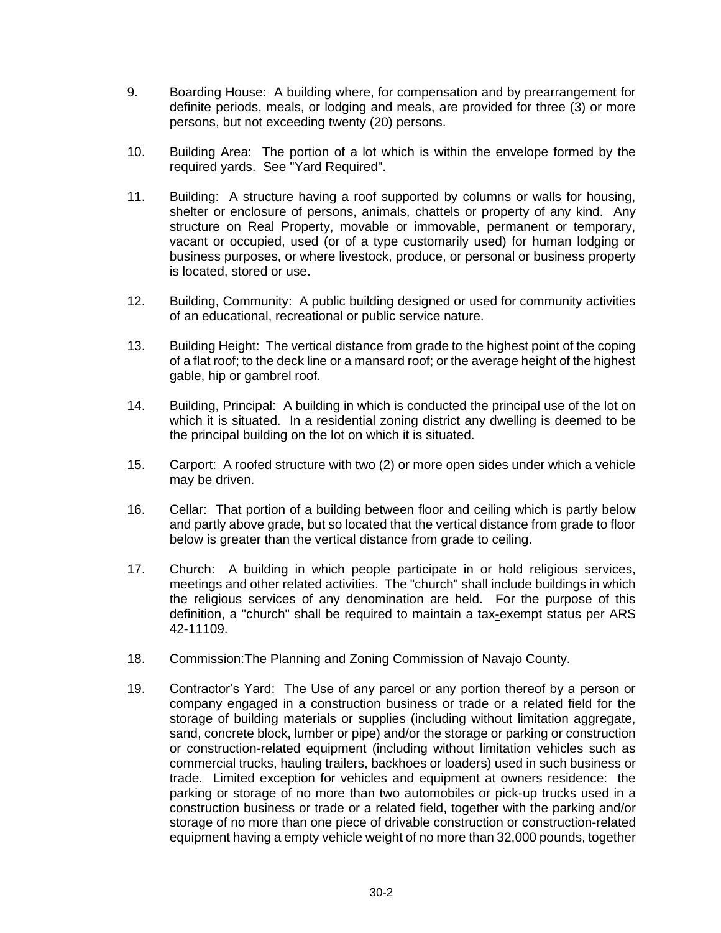- 9. Boarding House: A building where, for compensation and by prearrangement for definite periods, meals, or lodging and meals, are provided for three (3) or more persons, but not exceeding twenty (20) persons.
- 10. Building Area: The portion of a lot which is within the envelope formed by the required yards. See "Yard Required".
- 11. Building: A structure having a roof supported by columns or walls for housing, shelter or enclosure of persons, animals, chattels or property of any kind. Any structure on Real Property, movable or immovable, permanent or temporary, vacant or occupied, used (or of a type customarily used) for human lodging or business purposes, or where livestock, produce, or personal or business property is located, stored or use.
- 12. Building, Community: A public building designed or used for community activities of an educational, recreational or public service nature.
- 13. Building Height: The vertical distance from grade to the highest point of the coping of a flat roof; to the deck line or a mansard roof; or the average height of the highest gable, hip or gambrel roof.
- 14. Building, Principal: A building in which is conducted the principal use of the lot on which it is situated. In a residential zoning district any dwelling is deemed to be the principal building on the lot on which it is situated.
- 15. Carport: A roofed structure with two (2) or more open sides under which a vehicle may be driven.
- 16. Cellar: That portion of a building between floor and ceiling which is partly below and partly above grade, but so located that the vertical distance from grade to floor below is greater than the vertical distance from grade to ceiling.
- 17. Church: A building in which people participate in or hold religious services, meetings and other related activities. The "church" shall include buildings in which the religious services of any denomination are held. For the purpose of this definition, a "church" shall be required to maintain a tax**-**exempt status per ARS 42-11109.
- 18. Commission:The Planning and Zoning Commission of Navajo County.
- 19. Contractor's Yard: The Use of any parcel or any portion thereof by a person or company engaged in a construction business or trade or a related field for the storage of building materials or supplies (including without limitation aggregate, sand, concrete block, lumber or pipe) and/or the storage or parking or construction or construction-related equipment (including without limitation vehicles such as commercial trucks, hauling trailers, backhoes or loaders) used in such business or trade. Limited exception for vehicles and equipment at owners residence: the parking or storage of no more than two automobiles or pick-up trucks used in a construction business or trade or a related field, together with the parking and/or storage of no more than one piece of drivable construction or construction-related equipment having a empty vehicle weight of no more than 32,000 pounds, together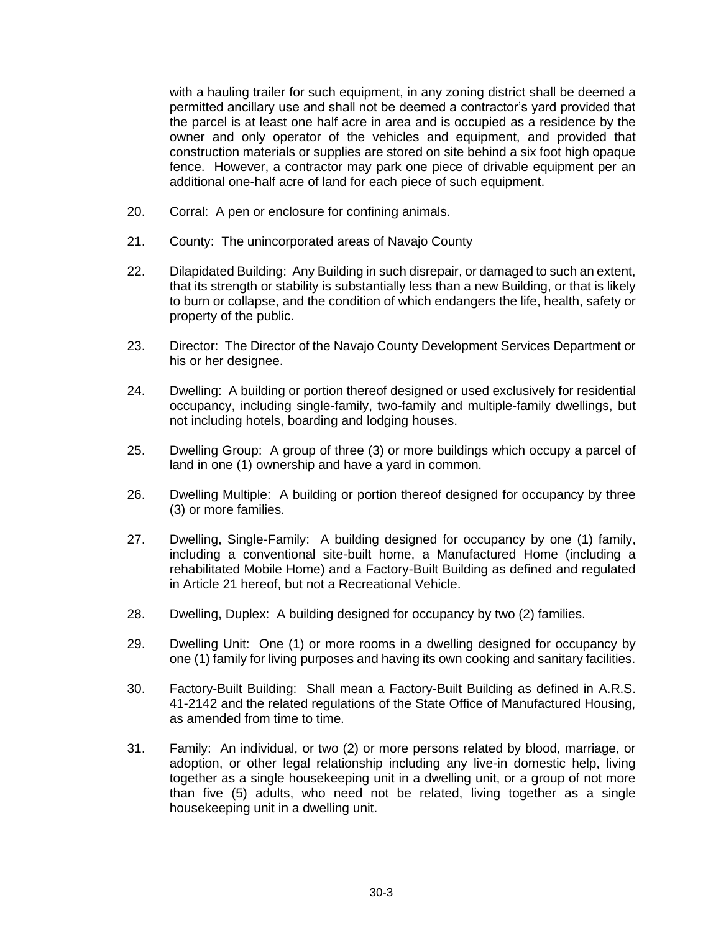with a hauling trailer for such equipment, in any zoning district shall be deemed a permitted ancillary use and shall not be deemed a contractor's yard provided that the parcel is at least one half acre in area and is occupied as a residence by the owner and only operator of the vehicles and equipment, and provided that construction materials or supplies are stored on site behind a six foot high opaque fence. However, a contractor may park one piece of drivable equipment per an additional one-half acre of land for each piece of such equipment.

- 20. Corral: A pen or enclosure for confining animals.
- 21. County: The unincorporated areas of Navajo County
- 22. Dilapidated Building: Any Building in such disrepair, or damaged to such an extent, that its strength or stability is substantially less than a new Building, or that is likely to burn or collapse, and the condition of which endangers the life, health, safety or property of the public.
- 23. Director: The Director of the Navajo County Development Services Department or his or her designee.
- 24. Dwelling: A building or portion thereof designed or used exclusively for residential occupancy, including single-family, two-family and multiple-family dwellings, but not including hotels, boarding and lodging houses.
- 25. Dwelling Group: A group of three (3) or more buildings which occupy a parcel of land in one (1) ownership and have a yard in common.
- 26. Dwelling Multiple: A building or portion thereof designed for occupancy by three (3) or more families.
- 27. Dwelling, Single-Family: A building designed for occupancy by one (1) family, including a conventional site-built home, a Manufactured Home (including a rehabilitated Mobile Home) and a Factory-Built Building as defined and regulated in Article 21 hereof, but not a Recreational Vehicle.
- 28. Dwelling, Duplex: A building designed for occupancy by two (2) families.
- 29. Dwelling Unit: One (1) or more rooms in a dwelling designed for occupancy by one (1) family for living purposes and having its own cooking and sanitary facilities.
- 30. Factory-Built Building: Shall mean a Factory-Built Building as defined in A.R.S. 41-2142 and the related regulations of the State Office of Manufactured Housing, as amended from time to time.
- 31. Family: An individual, or two (2) or more persons related by blood, marriage, or adoption, or other legal relationship including any live-in domestic help, living together as a single housekeeping unit in a dwelling unit, or a group of not more than five (5) adults, who need not be related, living together as a single housekeeping unit in a dwelling unit.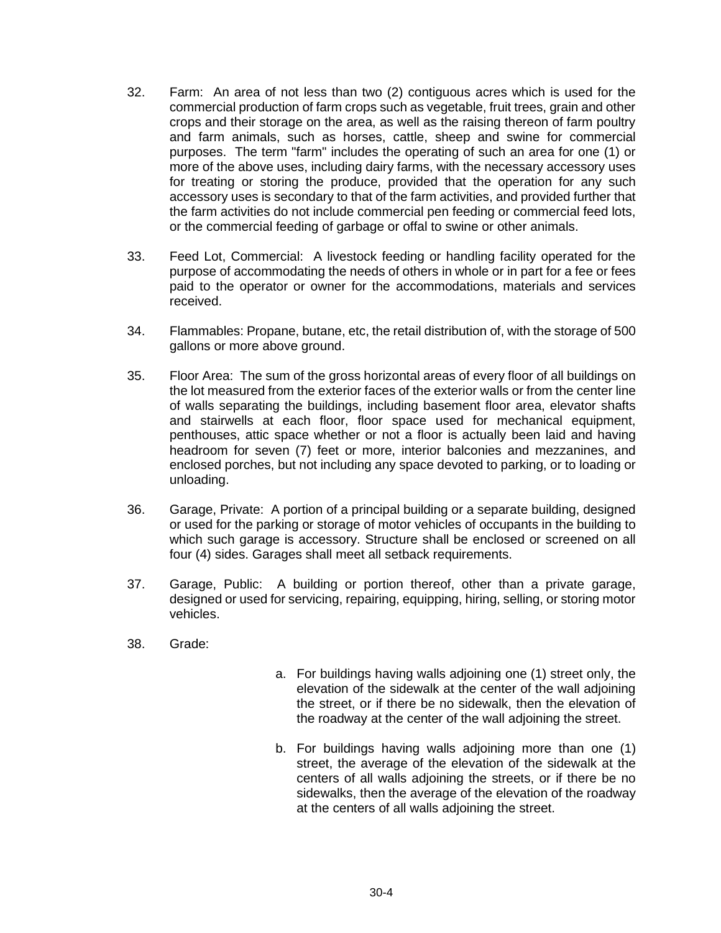- 32. Farm: An area of not less than two (2) contiguous acres which is used for the commercial production of farm crops such as vegetable, fruit trees, grain and other crops and their storage on the area, as well as the raising thereon of farm poultry and farm animals, such as horses, cattle, sheep and swine for commercial purposes. The term "farm" includes the operating of such an area for one (1) or more of the above uses, including dairy farms, with the necessary accessory uses for treating or storing the produce, provided that the operation for any such accessory uses is secondary to that of the farm activities, and provided further that the farm activities do not include commercial pen feeding or commercial feed lots, or the commercial feeding of garbage or offal to swine or other animals.
- 33. Feed Lot, Commercial: A livestock feeding or handling facility operated for the purpose of accommodating the needs of others in whole or in part for a fee or fees paid to the operator or owner for the accommodations, materials and services received.
- 34. Flammables: Propane, butane, etc, the retail distribution of, with the storage of 500 gallons or more above ground.
- 35. Floor Area: The sum of the gross horizontal areas of every floor of all buildings on the lot measured from the exterior faces of the exterior walls or from the center line of walls separating the buildings, including basement floor area, elevator shafts and stairwells at each floor, floor space used for mechanical equipment, penthouses, attic space whether or not a floor is actually been laid and having headroom for seven (7) feet or more, interior balconies and mezzanines, and enclosed porches, but not including any space devoted to parking, or to loading or unloading.
- 36. Garage, Private: A portion of a principal building or a separate building, designed or used for the parking or storage of motor vehicles of occupants in the building to which such garage is accessory. Structure shall be enclosed or screened on all four (4) sides. Garages shall meet all setback requirements.
- 37. Garage, Public: A building or portion thereof, other than a private garage, designed or used for servicing, repairing, equipping, hiring, selling, or storing motor vehicles.
- 38. Grade:
- a. For buildings having walls adjoining one (1) street only, the elevation of the sidewalk at the center of the wall adjoining the street, or if there be no sidewalk, then the elevation of the roadway at the center of the wall adjoining the street.
- b. For buildings having walls adjoining more than one (1) street, the average of the elevation of the sidewalk at the centers of all walls adjoining the streets, or if there be no sidewalks, then the average of the elevation of the roadway at the centers of all walls adjoining the street.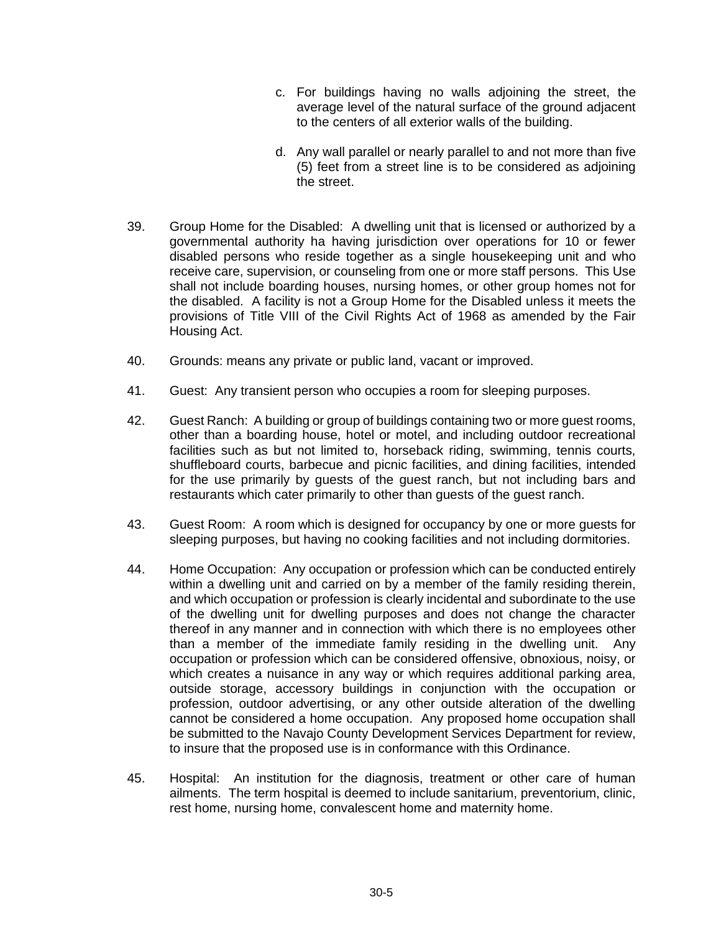- c. For buildings having no walls adjoining the street, the average level of the natural surface of the ground adjacent to the centers of all exterior walls of the building.
- d. Any wall parallel or nearly parallel to and not more than five (5) feet from a street line is to be considered as adjoining the street.
- 39. Group Home for the Disabled: A dwelling unit that is licensed or authorized by a governmental authority ha having jurisdiction over operations for 10 or fewer disabled persons who reside together as a single housekeeping unit and who receive care, supervision, or counseling from one or more staff persons. This Use shall not include boarding houses, nursing homes, or other group homes not for the disabled. A facility is not a Group Home for the Disabled unless it meets the provisions of Title VIII of the Civil Rights Act of 1968 as amended by the Fair Housing Act.
- 40. Grounds: means any private or public land, vacant or improved.
- 41. Guest: Any transient person who occupies a room for sleeping purposes.
- 42. Guest Ranch: A building or group of buildings containing two or more guest rooms, other than a boarding house, hotel or motel, and including outdoor recreational facilities such as but not limited to, horseback riding, swimming, tennis courts, shuffleboard courts, barbecue and picnic facilities, and dining facilities, intended for the use primarily by guests of the guest ranch, but not including bars and restaurants which cater primarily to other than guests of the guest ranch.
- 43. Guest Room: A room which is designed for occupancy by one or more guests for sleeping purposes, but having no cooking facilities and not including dormitories.
- 44. Home Occupation: Any occupation or profession which can be conducted entirely within a dwelling unit and carried on by a member of the family residing therein, and which occupation or profession is clearly incidental and subordinate to the use of the dwelling unit for dwelling purposes and does not change the character thereof in any manner and in connection with which there is no employees other than a member of the immediate family residing in the dwelling unit. Any occupation or profession which can be considered offensive, obnoxious, noisy, or which creates a nuisance in any way or which requires additional parking area, outside storage, accessory buildings in conjunction with the occupation or profession, outdoor advertising, or any other outside alteration of the dwelling cannot be considered a home occupation. Any proposed home occupation shall be submitted to the Navajo County Development Services Department for review, to insure that the proposed use is in conformance with this Ordinance.
- 45. Hospital: An institution for the diagnosis, treatment or other care of human ailments. The term hospital is deemed to include sanitarium, preventorium, clinic, rest home, nursing home, convalescent home and maternity home.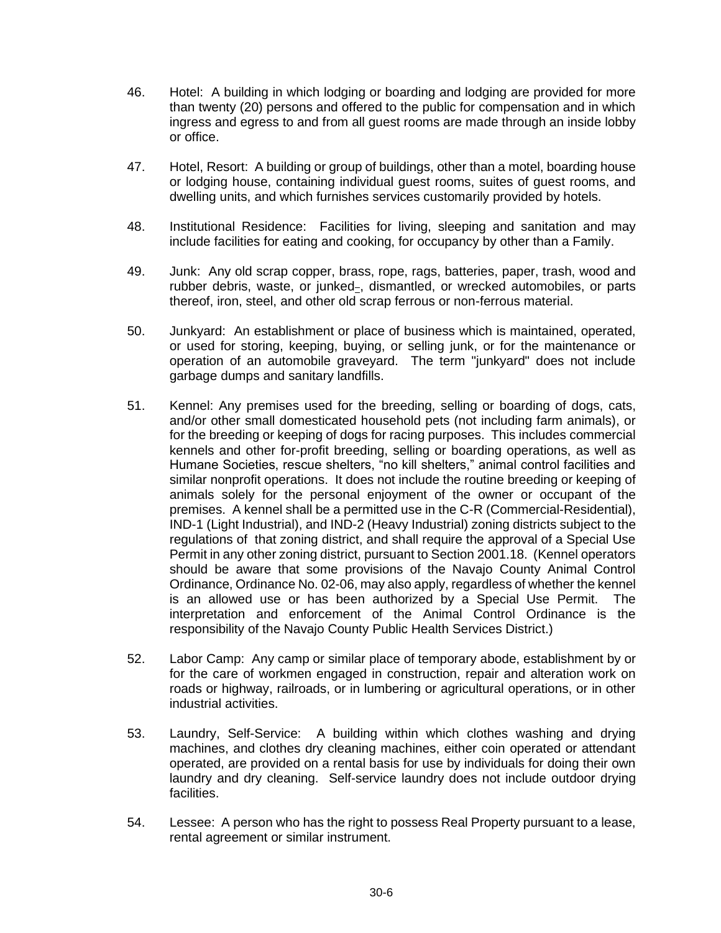- 46. Hotel: A building in which lodging or boarding and lodging are provided for more than twenty (20) persons and offered to the public for compensation and in which ingress and egress to and from all guest rooms are made through an inside lobby or office.
- 47. Hotel, Resort: A building or group of buildings, other than a motel, boarding house or lodging house, containing individual guest rooms, suites of guest rooms, and dwelling units, and which furnishes services customarily provided by hotels.
- 48. Institutional Residence: Facilities for living, sleeping and sanitation and may include facilities for eating and cooking, for occupancy by other than a Family.
- 49. Junk: Any old scrap copper, brass, rope, rags, batteries, paper, trash, wood and rubber debris, waste, or junked-, dismantled, or wrecked automobiles, or parts thereof, iron, steel, and other old scrap ferrous or non-ferrous material.
- 50. Junkyard: An establishment or place of business which is maintained, operated, or used for storing, keeping, buying, or selling junk, or for the maintenance or operation of an automobile graveyard. The term "junkyard" does not include garbage dumps and sanitary landfills.
- 51. Kennel: Any premises used for the breeding, selling or boarding of dogs, cats, and/or other small domesticated household pets (not including farm animals), or for the breeding or keeping of dogs for racing purposes. This includes commercial kennels and other for-profit breeding, selling or boarding operations, as well as Humane Societies, rescue shelters, "no kill shelters," animal control facilities and similar nonprofit operations. It does not include the routine breeding or keeping of animals solely for the personal enjoyment of the owner or occupant of the premises. A kennel shall be a permitted use in the C-R (Commercial-Residential), IND-1 (Light Industrial), and IND-2 (Heavy Industrial) zoning districts subject to the regulations of that zoning district, and shall require the approval of a Special Use Permit in any other zoning district, pursuant to Section 2001.18. (Kennel operators should be aware that some provisions of the Navajo County Animal Control Ordinance, Ordinance No. 02-06, may also apply, regardless of whether the kennel is an allowed use or has been authorized by a Special Use Permit. The interpretation and enforcement of the Animal Control Ordinance is the responsibility of the Navajo County Public Health Services District.)
- 52. Labor Camp: Any camp or similar place of temporary abode, establishment by or for the care of workmen engaged in construction, repair and alteration work on roads or highway, railroads, or in lumbering or agricultural operations, or in other industrial activities.
- 53. Laundry, Self-Service: A building within which clothes washing and drying machines, and clothes dry cleaning machines, either coin operated or attendant operated, are provided on a rental basis for use by individuals for doing their own laundry and dry cleaning. Self-service laundry does not include outdoor drying facilities.
- 54. Lessee: A person who has the right to possess Real Property pursuant to a lease, rental agreement or similar instrument.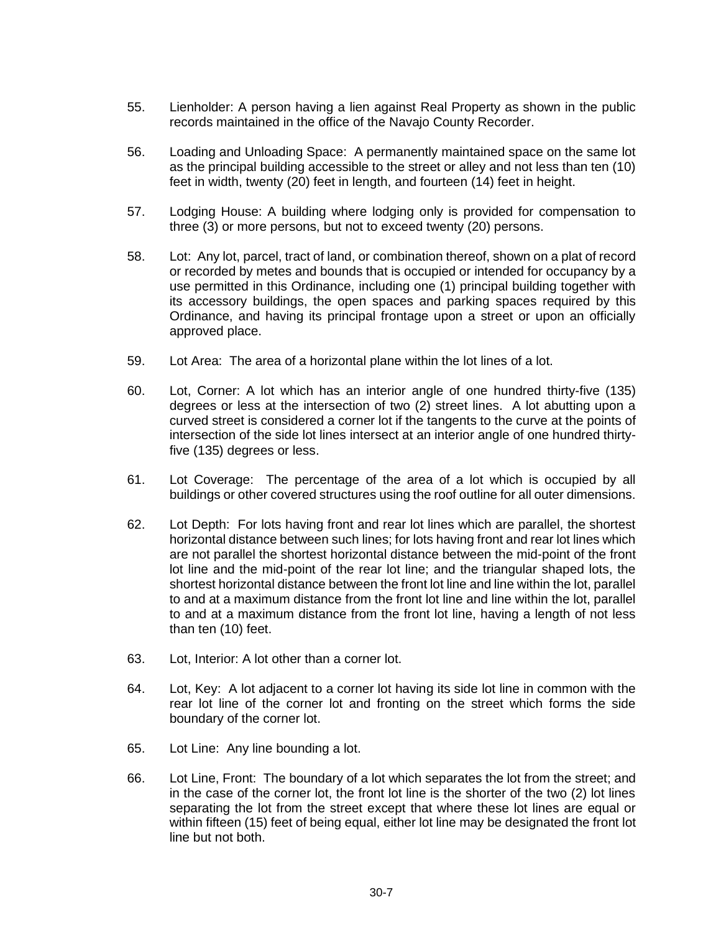- 55. Lienholder: A person having a lien against Real Property as shown in the public records maintained in the office of the Navajo County Recorder.
- 56. Loading and Unloading Space: A permanently maintained space on the same lot as the principal building accessible to the street or alley and not less than ten (10) feet in width, twenty (20) feet in length, and fourteen (14) feet in height.
- 57. Lodging House: A building where lodging only is provided for compensation to three (3) or more persons, but not to exceed twenty (20) persons.
- 58. Lot: Any lot, parcel, tract of land, or combination thereof, shown on a plat of record or recorded by metes and bounds that is occupied or intended for occupancy by a use permitted in this Ordinance, including one (1) principal building together with its accessory buildings, the open spaces and parking spaces required by this Ordinance, and having its principal frontage upon a street or upon an officially approved place.
- 59. Lot Area: The area of a horizontal plane within the lot lines of a lot.
- 60. Lot, Corner: A lot which has an interior angle of one hundred thirty-five (135) degrees or less at the intersection of two (2) street lines. A lot abutting upon a curved street is considered a corner lot if the tangents to the curve at the points of intersection of the side lot lines intersect at an interior angle of one hundred thirtyfive (135) degrees or less.
- 61. Lot Coverage: The percentage of the area of a lot which is occupied by all buildings or other covered structures using the roof outline for all outer dimensions.
- 62. Lot Depth: For lots having front and rear lot lines which are parallel, the shortest horizontal distance between such lines; for lots having front and rear lot lines which are not parallel the shortest horizontal distance between the mid-point of the front lot line and the mid-point of the rear lot line; and the triangular shaped lots, the shortest horizontal distance between the front lot line and line within the lot, parallel to and at a maximum distance from the front lot line and line within the lot, parallel to and at a maximum distance from the front lot line, having a length of not less than ten (10) feet.
- 63. Lot, Interior: A lot other than a corner lot.
- 64. Lot, Key: A lot adjacent to a corner lot having its side lot line in common with the rear lot line of the corner lot and fronting on the street which forms the side boundary of the corner lot.
- 65. Lot Line: Any line bounding a lot.
- 66. Lot Line, Front: The boundary of a lot which separates the lot from the street; and in the case of the corner lot, the front lot line is the shorter of the two (2) lot lines separating the lot from the street except that where these lot lines are equal or within fifteen (15) feet of being equal, either lot line may be designated the front lot line but not both.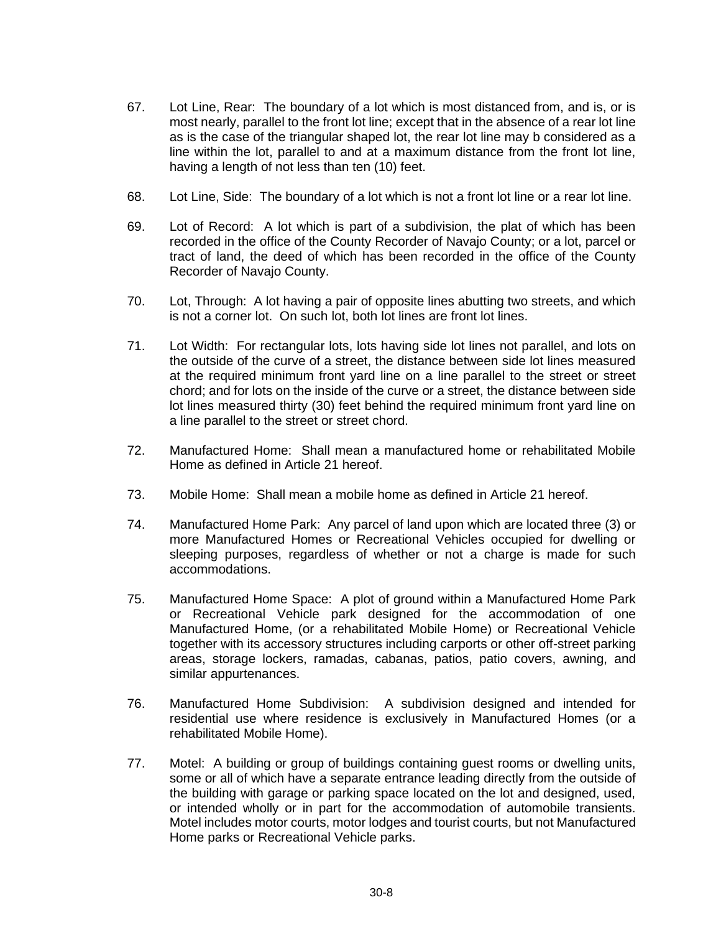- 67. Lot Line, Rear: The boundary of a lot which is most distanced from, and is, or is most nearly, parallel to the front lot line; except that in the absence of a rear lot line as is the case of the triangular shaped lot, the rear lot line may b considered as a line within the lot, parallel to and at a maximum distance from the front lot line, having a length of not less than ten (10) feet.
- 68. Lot Line, Side: The boundary of a lot which is not a front lot line or a rear lot line.
- 69. Lot of Record: A lot which is part of a subdivision, the plat of which has been recorded in the office of the County Recorder of Navajo County; or a lot, parcel or tract of land, the deed of which has been recorded in the office of the County Recorder of Navajo County.
- 70. Lot, Through: A lot having a pair of opposite lines abutting two streets, and which is not a corner lot. On such lot, both lot lines are front lot lines.
- 71. Lot Width: For rectangular lots, lots having side lot lines not parallel, and lots on the outside of the curve of a street, the distance between side lot lines measured at the required minimum front yard line on a line parallel to the street or street chord; and for lots on the inside of the curve or a street, the distance between side lot lines measured thirty (30) feet behind the required minimum front yard line on a line parallel to the street or street chord.
- 72. Manufactured Home: Shall mean a manufactured home or rehabilitated Mobile Home as defined in Article 21 hereof.
- 73. Mobile Home: Shall mean a mobile home as defined in Article 21 hereof.
- 74. Manufactured Home Park: Any parcel of land upon which are located three (3) or more Manufactured Homes or Recreational Vehicles occupied for dwelling or sleeping purposes, regardless of whether or not a charge is made for such accommodations.
- 75. Manufactured Home Space: A plot of ground within a Manufactured Home Park or Recreational Vehicle park designed for the accommodation of one Manufactured Home, (or a rehabilitated Mobile Home) or Recreational Vehicle together with its accessory structures including carports or other off-street parking areas, storage lockers, ramadas, cabanas, patios, patio covers, awning, and similar appurtenances.
- 76. Manufactured Home Subdivision: A subdivision designed and intended for residential use where residence is exclusively in Manufactured Homes (or a rehabilitated Mobile Home).
- 77. Motel: A building or group of buildings containing guest rooms or dwelling units, some or all of which have a separate entrance leading directly from the outside of the building with garage or parking space located on the lot and designed, used, or intended wholly or in part for the accommodation of automobile transients. Motel includes motor courts, motor lodges and tourist courts, but not Manufactured Home parks or Recreational Vehicle parks.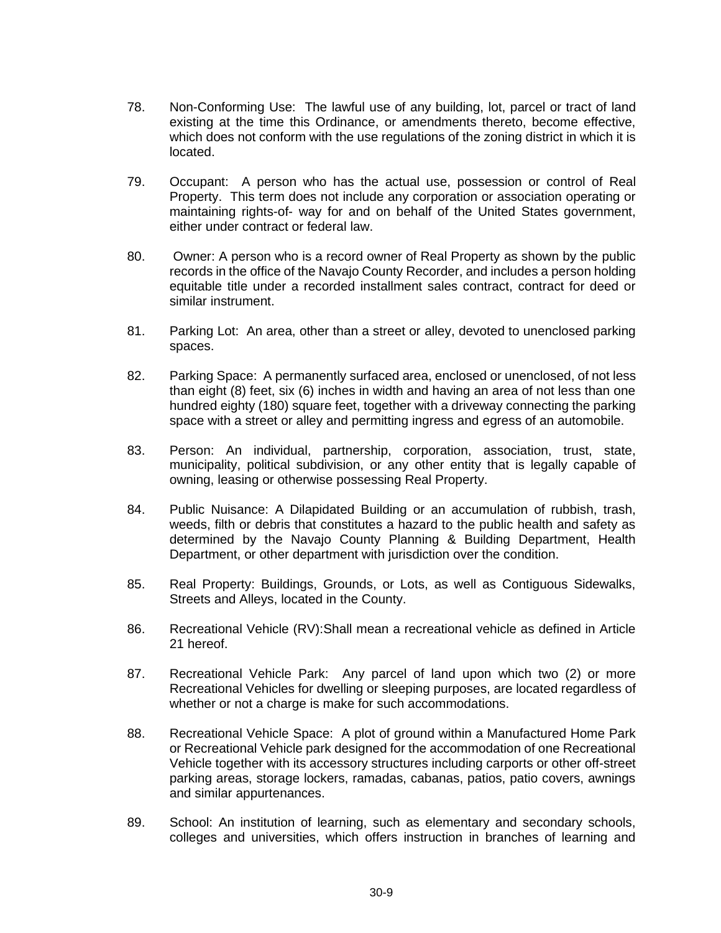- 78. Non-Conforming Use: The lawful use of any building, lot, parcel or tract of land existing at the time this Ordinance, or amendments thereto, become effective, which does not conform with the use regulations of the zoning district in which it is located.
- 79. Occupant: A person who has the actual use, possession or control of Real Property. This term does not include any corporation or association operating or maintaining rights-of- way for and on behalf of the United States government, either under contract or federal law.
- 80. Owner: A person who is a record owner of Real Property as shown by the public records in the office of the Navajo County Recorder, and includes a person holding equitable title under a recorded installment sales contract, contract for deed or similar instrument.
- 81. Parking Lot: An area, other than a street or alley, devoted to unenclosed parking spaces.
- 82. Parking Space: A permanently surfaced area, enclosed or unenclosed, of not less than eight (8) feet, six (6) inches in width and having an area of not less than one hundred eighty (180) square feet, together with a driveway connecting the parking space with a street or alley and permitting ingress and egress of an automobile.
- 83. Person: An individual, partnership, corporation, association, trust, state, municipality, political subdivision, or any other entity that is legally capable of owning, leasing or otherwise possessing Real Property.
- 84. Public Nuisance: A Dilapidated Building or an accumulation of rubbish, trash, weeds, filth or debris that constitutes a hazard to the public health and safety as determined by the Navajo County Planning & Building Department, Health Department, or other department with jurisdiction over the condition.
- 85. Real Property: Buildings, Grounds, or Lots, as well as Contiguous Sidewalks, Streets and Alleys, located in the County.
- 86. Recreational Vehicle (RV):Shall mean a recreational vehicle as defined in Article 21 hereof.
- 87. Recreational Vehicle Park: Any parcel of land upon which two (2) or more Recreational Vehicles for dwelling or sleeping purposes, are located regardless of whether or not a charge is make for such accommodations.
- 88. Recreational Vehicle Space: A plot of ground within a Manufactured Home Park or Recreational Vehicle park designed for the accommodation of one Recreational Vehicle together with its accessory structures including carports or other off-street parking areas, storage lockers, ramadas, cabanas, patios, patio covers, awnings and similar appurtenances.
- 89. School: An institution of learning, such as elementary and secondary schools, colleges and universities, which offers instruction in branches of learning and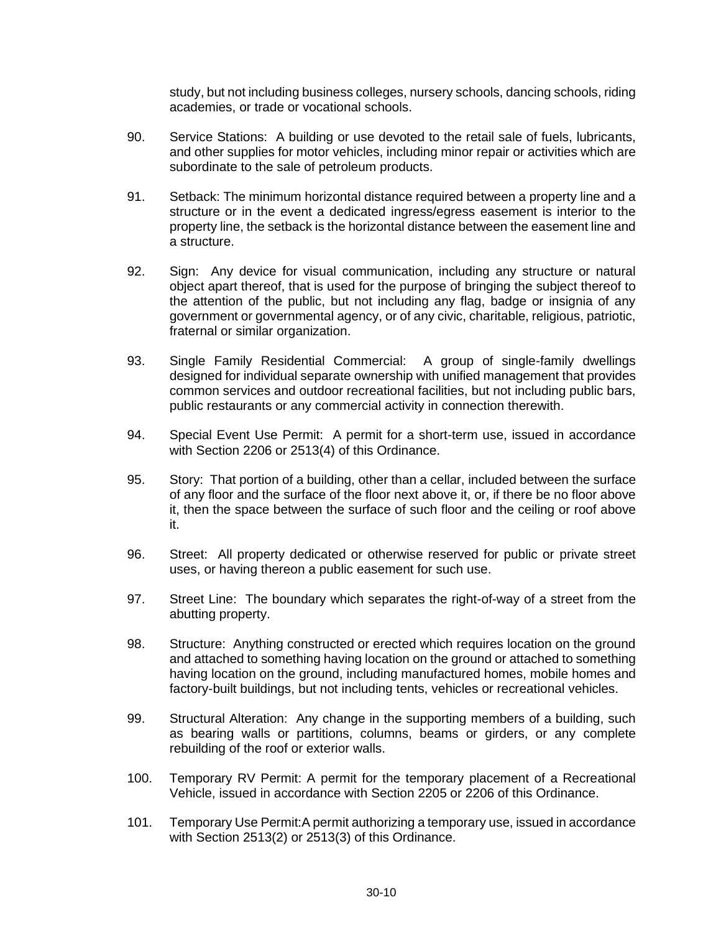study, but not including business colleges, nursery schools, dancing schools, riding academies, or trade or vocational schools.

- 90. Service Stations: A building or use devoted to the retail sale of fuels, lubricants, and other supplies for motor vehicles, including minor repair or activities which are subordinate to the sale of petroleum products.
- 91. Setback: The minimum horizontal distance required between a property line and a structure or in the event a dedicated ingress/egress easement is interior to the property line, the setback is the horizontal distance between the easement line and a structure.
- 92. Sign: Any device for visual communication, including any structure or natural object apart thereof, that is used for the purpose of bringing the subject thereof to the attention of the public, but not including any flag, badge or insignia of any government or governmental agency, or of any civic, charitable, religious, patriotic, fraternal or similar organization.
- 93. Single Family Residential Commercial: A group of single-family dwellings designed for individual separate ownership with unified management that provides common services and outdoor recreational facilities, but not including public bars, public restaurants or any commercial activity in connection therewith.
- 94. Special Event Use Permit: A permit for a short-term use, issued in accordance with Section 2206 or 2513(4) of this Ordinance.
- 95. Story: That portion of a building, other than a cellar, included between the surface of any floor and the surface of the floor next above it, or, if there be no floor above it, then the space between the surface of such floor and the ceiling or roof above it.
- 96. Street: All property dedicated or otherwise reserved for public or private street uses, or having thereon a public easement for such use.
- 97. Street Line: The boundary which separates the right-of-way of a street from the abutting property.
- 98. Structure: Anything constructed or erected which requires location on the ground and attached to something having location on the ground or attached to something having location on the ground, including manufactured homes, mobile homes and factory-built buildings, but not including tents, vehicles or recreational vehicles.
- 99. Structural Alteration: Any change in the supporting members of a building, such as bearing walls or partitions, columns, beams or girders, or any complete rebuilding of the roof or exterior walls.
- 100. Temporary RV Permit: A permit for the temporary placement of a Recreational Vehicle, issued in accordance with Section 2205 or 2206 of this Ordinance.
- 101. Temporary Use Permit:A permit authorizing a temporary use, issued in accordance with Section 2513(2) or 2513(3) of this Ordinance.